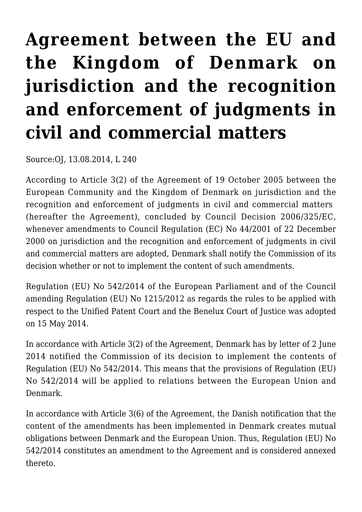## **[Agreement between the EU and](https://conflictoflaws.net/2014/agreement-between-the-eu-and-the-kingdom-of-denmark-on-jurisdiction-and-the-recognition-and-enforcement-of-judgments-in-civil-and-commercial-matters/) [the Kingdom of Denmark on](https://conflictoflaws.net/2014/agreement-between-the-eu-and-the-kingdom-of-denmark-on-jurisdiction-and-the-recognition-and-enforcement-of-judgments-in-civil-and-commercial-matters/) [jurisdiction and the recognition](https://conflictoflaws.net/2014/agreement-between-the-eu-and-the-kingdom-of-denmark-on-jurisdiction-and-the-recognition-and-enforcement-of-judgments-in-civil-and-commercial-matters/) [and enforcement of judgments in](https://conflictoflaws.net/2014/agreement-between-the-eu-and-the-kingdom-of-denmark-on-jurisdiction-and-the-recognition-and-enforcement-of-judgments-in-civil-and-commercial-matters/) [civil and commercial matters](https://conflictoflaws.net/2014/agreement-between-the-eu-and-the-kingdom-of-denmark-on-jurisdiction-and-the-recognition-and-enforcement-of-judgments-in-civil-and-commercial-matters/)**

Source:OJ, 13.08.2014, L 240

According to Article 3(2) of the Agreement of 19 October 2005 between the European Community and the Kingdom of Denmark on jurisdiction and the recognition and enforcement of judgments in civil and commercial matters (hereafter the Agreement), concluded by Council Decision 2006/325/EC, whenever amendments to Council Regulation (EC) No 44/2001 of 22 December 2000 on jurisdiction and the recognition and enforcement of judgments in civil and commercial matters are adopted, Denmark shall notify the Commission of its decision whether or not to implement the content of such amendments.

Regulation (EU) No 542/2014 of the European Parliament and of the Council amending Regulation (EU) No 1215/2012 as regards the rules to be applied with respect to the Unified Patent Court and the Benelux Court of Justice was adopted on 15 May 2014.

In accordance with Article 3(2) of the Agreement, Denmark has by letter of 2 June 2014 notified the Commission of its decision to implement the contents of Regulation (EU) No 542/2014. This means that the provisions of Regulation (EU) No 542/2014 will be applied to relations between the European Union and Denmark.

In accordance with Article 3(6) of the Agreement, the Danish notification that the content of the amendments has been implemented in Denmark creates mutual obligations between Denmark and the European Union. Thus, Regulation (EU) No 542/2014 constitutes an amendment to the Agreement and is considered annexed thereto.